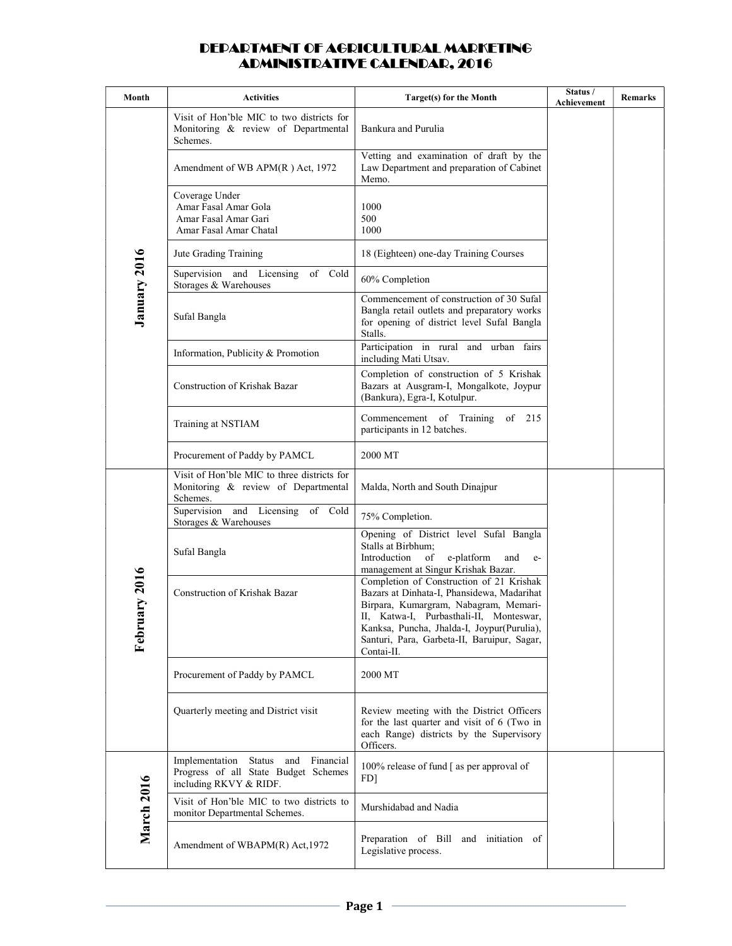| Month             | <b>Activities</b>                                                                                     | Target(s) for the Month                                                                                                                                                                                                                                                               | Status /<br>Achievement | Remarks |
|-------------------|-------------------------------------------------------------------------------------------------------|---------------------------------------------------------------------------------------------------------------------------------------------------------------------------------------------------------------------------------------------------------------------------------------|-------------------------|---------|
| January 2016      | Visit of Hon'ble MIC to two districts for<br>Monitoring & review of Departmental<br>Schemes.          | Bankura and Purulia                                                                                                                                                                                                                                                                   |                         |         |
|                   | Amendment of WB APM(R) Act, 1972                                                                      | Vetting and examination of draft by the<br>Law Department and preparation of Cabinet<br>Memo.                                                                                                                                                                                         |                         |         |
|                   | Coverage Under<br>Amar Fasal Amar Gola<br>Amar Fasal Amar Gari<br>Amar Fasal Amar Chatal              | 1000<br>500<br>1000                                                                                                                                                                                                                                                                   |                         |         |
|                   | Jute Grading Training                                                                                 | 18 (Eighteen) one-day Training Courses                                                                                                                                                                                                                                                |                         |         |
|                   | Supervision and Licensing<br>of Cold<br>Storages & Warehouses                                         | 60% Completion                                                                                                                                                                                                                                                                        |                         |         |
|                   | Sufal Bangla                                                                                          | Commencement of construction of 30 Sufal<br>Bangla retail outlets and preparatory works<br>for opening of district level Sufal Bangla<br>Stalls.                                                                                                                                      |                         |         |
|                   | Information, Publicity & Promotion                                                                    | Participation in rural and urban fairs<br>including Mati Utsav.                                                                                                                                                                                                                       |                         |         |
|                   | Construction of Krishak Bazar                                                                         | Completion of construction of 5 Krishak<br>Bazars at Ausgram-I, Mongalkote, Joypur<br>(Bankura), Egra-I, Kotulpur.                                                                                                                                                                    |                         |         |
|                   | Training at NSTIAM                                                                                    | Commencement of Training of 215<br>participants in 12 batches.                                                                                                                                                                                                                        |                         |         |
|                   | Procurement of Paddy by PAMCL                                                                         | 2000 MT                                                                                                                                                                                                                                                                               |                         |         |
|                   | Visit of Hon'ble MIC to three districts for<br>Monitoring & review of Departmental<br>Schemes.        | Malda, North and South Dinajpur                                                                                                                                                                                                                                                       |                         |         |
|                   | Supervision and Licensing<br>of Cold<br>Storages & Warehouses                                         | 75% Completion.                                                                                                                                                                                                                                                                       |                         |         |
|                   | Sufal Bangla                                                                                          | Opening of District level Sufal Bangla<br>Stalls at Birbhum;<br>of<br>Introduction<br>e-platform<br>and<br>$e-$<br>management at Singur Krishak Bazar.                                                                                                                                |                         |         |
| ary 2016<br>Febru | Construction of Krishak Bazar                                                                         | Completion of Construction of 21 Krishak<br>Bazars at Dinhata-I, Phansidewa, Madarihat<br>Birpara, Kumargram, Nabagram, Memari-<br>II, Katwa-I, Purbasthali-II, Monteswar,<br>Kanksa, Puncha, Jhalda-I, Joypur(Purulia),<br>Santuri, Para, Garbeta-II, Baruipur, Sagar,<br>Contai-II. |                         |         |
|                   | Procurement of Paddy by PAMCL                                                                         | 2000 MT                                                                                                                                                                                                                                                                               |                         |         |
|                   | Quarterly meeting and District visit                                                                  | Review meeting with the District Officers<br>for the last quarter and visit of 6 (Two in<br>each Range) districts by the Supervisory<br>Officers.                                                                                                                                     |                         |         |
| <b>March 2016</b> | Implementation Status and Financial<br>Progress of all State Budget Schemes<br>including RKVY & RIDF. | 100% release of fund [ as per approval of<br>FD]                                                                                                                                                                                                                                      |                         |         |
|                   | Visit of Hon'ble MIC to two districts to<br>monitor Departmental Schemes.                             | Murshidabad and Nadia                                                                                                                                                                                                                                                                 |                         |         |
|                   | Amendment of WBAPM(R) Act, 1972                                                                       | Preparation of Bill and initiation of<br>Legislative process.                                                                                                                                                                                                                         |                         |         |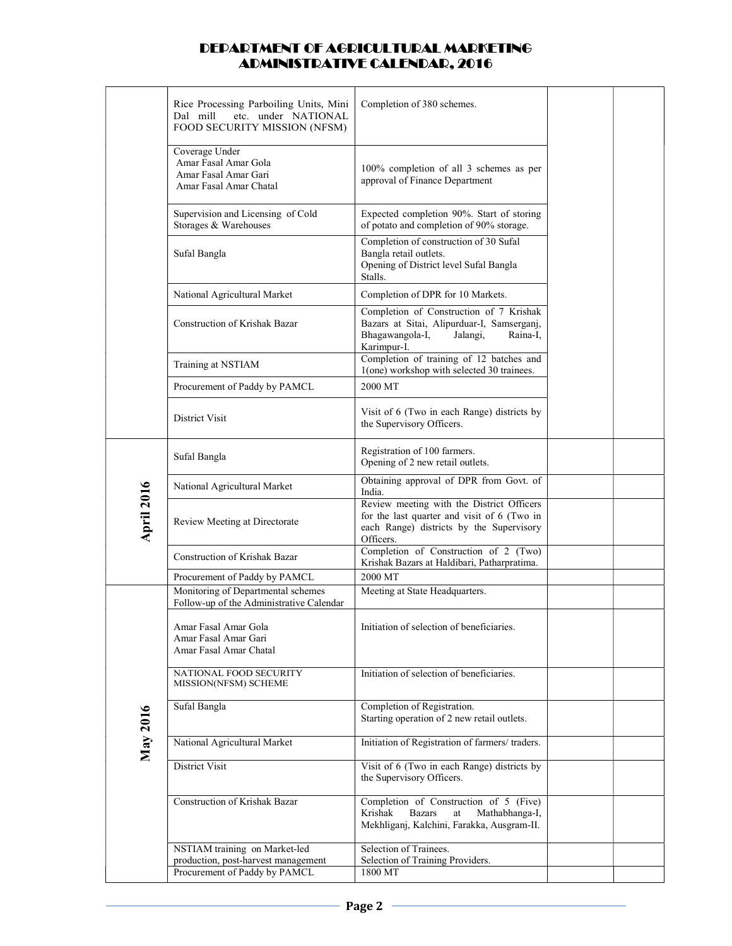|                   | Rice Processing Parboiling Units, Mini<br>etc. under NATIONAL<br>Dal mill<br>FOOD SECURITY MISSION (NFSM) | Completion of 380 schemes.                                                                                                                        |  |
|-------------------|-----------------------------------------------------------------------------------------------------------|---------------------------------------------------------------------------------------------------------------------------------------------------|--|
|                   | Coverage Under<br>Amar Fasal Amar Gola<br>Amar Fasal Amar Gari<br>Amar Fasal Amar Chatal                  | 100% completion of all 3 schemes as per<br>approval of Finance Department                                                                         |  |
|                   | Supervision and Licensing of Cold<br>Storages & Warehouses                                                | Expected completion 90%. Start of storing<br>of potato and completion of 90% storage.                                                             |  |
|                   | Sufal Bangla                                                                                              | Completion of construction of 30 Sufal<br>Bangla retail outlets.<br>Opening of District level Sufal Bangla<br>Stalls.                             |  |
|                   | National Agricultural Market                                                                              | Completion of DPR for 10 Markets.                                                                                                                 |  |
|                   | Construction of Krishak Bazar                                                                             | Completion of Construction of 7 Krishak<br>Bazars at Sitai, Alipurduar-I, Samserganj,<br>Bhagawangola-I,<br>Jalangi,<br>Raina-I,<br>Karimpur-I.   |  |
|                   | Training at NSTIAM                                                                                        | Completion of training of 12 batches and<br>1(one) workshop with selected 30 trainees.                                                            |  |
|                   | Procurement of Paddy by PAMCL                                                                             | 2000 MT                                                                                                                                           |  |
|                   | <b>District Visit</b>                                                                                     | Visit of 6 (Two in each Range) districts by<br>the Supervisory Officers.                                                                          |  |
|                   | Sufal Bangla                                                                                              | Registration of 100 farmers.<br>Opening of 2 new retail outlets.                                                                                  |  |
|                   | National Agricultural Market                                                                              | Obtaining approval of DPR from Govt. of<br>India.                                                                                                 |  |
| <b>April 2016</b> | Review Meeting at Directorate                                                                             | Review meeting with the District Officers<br>for the last quarter and visit of 6 (Two in<br>each Range) districts by the Supervisory<br>Officers. |  |
|                   | Construction of Krishak Bazar                                                                             | Completion of Construction of 2 (Two)<br>Krishak Bazars at Haldibari, Patharpratima.                                                              |  |
|                   | Procurement of Paddy by PAMCL                                                                             | 2000 MT                                                                                                                                           |  |
|                   | Monitoring of Departmental schemes<br>Follow-up of the Administrative Calendar                            | Meeting at State Headquarters.                                                                                                                    |  |
| May 2016          | Amar Fasal Amar Gola<br>Amar Fasal Amar Gari<br>Amar Fasal Amar Chatal                                    | Initiation of selection of beneficiaries.                                                                                                         |  |
|                   | NATIONAL FOOD SECURITY<br>MISSION(NFSM) SCHEME                                                            | Initiation of selection of beneficiaries.                                                                                                         |  |
|                   | Sufal Bangla                                                                                              | Completion of Registration.<br>Starting operation of 2 new retail outlets.                                                                        |  |
|                   | National Agricultural Market                                                                              | Initiation of Registration of farmers/ traders.                                                                                                   |  |
|                   | District Visit                                                                                            | Visit of 6 (Two in each Range) districts by<br>the Supervisory Officers.                                                                          |  |
|                   | Construction of Krishak Bazar                                                                             | Completion of Construction of 5 (Five)<br>Krishak<br><b>Bazars</b><br>Mathabhanga-I,<br>at<br>Mekhliganj, Kalchini, Farakka, Ausgram-II.          |  |
|                   | NSTIAM training on Market-led<br>production, post-harvest management<br>Procurement of Paddy by PAMCL     | Selection of Trainees.<br>Selection of Training Providers.<br>1800 MT                                                                             |  |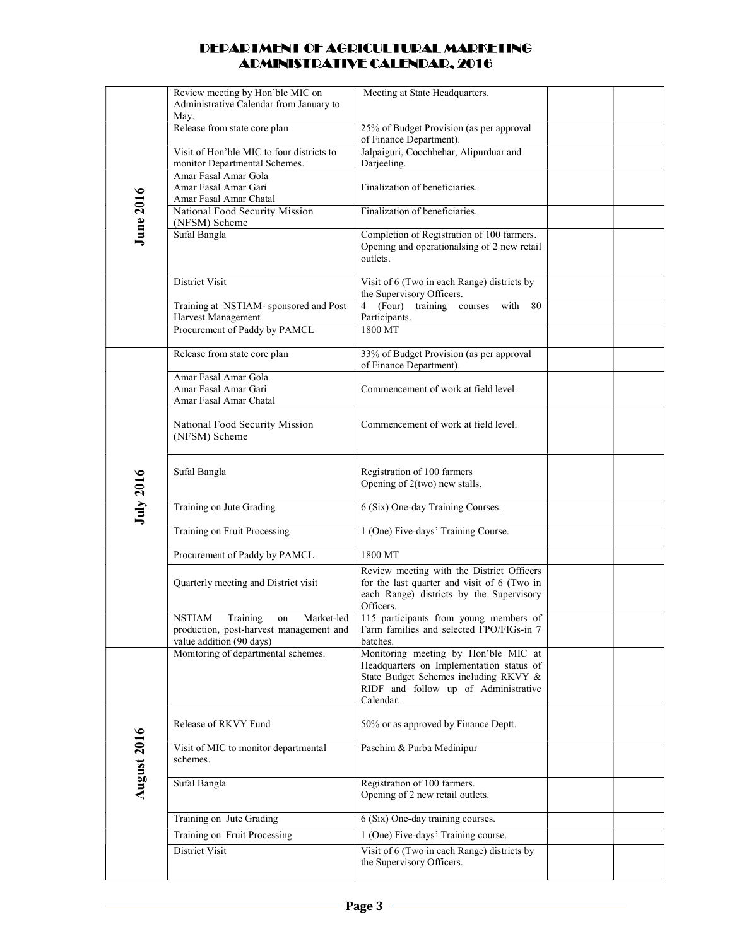|                  | Review meeting by Hon'ble MIC on<br>Administrative Calendar from January to                                          | Meeting at State Headquarters.                                                                                                                                                 |  |
|------------------|----------------------------------------------------------------------------------------------------------------------|--------------------------------------------------------------------------------------------------------------------------------------------------------------------------------|--|
|                  | May.                                                                                                                 |                                                                                                                                                                                |  |
|                  | Release from state core plan                                                                                         | 25% of Budget Provision (as per approval<br>of Finance Department).                                                                                                            |  |
|                  | Visit of Hon'ble MIC to four districts to                                                                            | Jalpaiguri, Coochbehar, Alipurduar and                                                                                                                                         |  |
|                  | monitor Departmental Schemes.                                                                                        | Darjeeling.                                                                                                                                                                    |  |
| <b>June 2016</b> | Amar Fasal Amar Gola<br>Amar Fasal Amar Gari<br>Amar Fasal Amar Chatal                                               | Finalization of beneficiaries.                                                                                                                                                 |  |
|                  | National Food Security Mission<br>(NFSM) Scheme                                                                      | Finalization of beneficiaries.                                                                                                                                                 |  |
|                  | Sufal Bangla                                                                                                         | Completion of Registration of 100 farmers.<br>Opening and operationalsing of 2 new retail<br>outlets.                                                                          |  |
|                  | District Visit                                                                                                       | Visit of 6 (Two in each Range) districts by<br>the Supervisory Officers.                                                                                                       |  |
|                  | Training at NSTIAM- sponsored and Post<br>Harvest Management                                                         | (Four) training courses<br>$\overline{4}$<br>with<br>80<br>Participants.                                                                                                       |  |
|                  | Procurement of Paddy by PAMCL                                                                                        | 1800 MT                                                                                                                                                                        |  |
| <b>July 2016</b> | Release from state core plan                                                                                         | 33% of Budget Provision (as per approval<br>of Finance Department).                                                                                                            |  |
|                  | Amar Fasal Amar Gola<br>Amar Fasal Amar Gari<br>Amar Fasal Amar Chatal                                               | Commencement of work at field level.                                                                                                                                           |  |
|                  | National Food Security Mission<br>(NFSM) Scheme                                                                      | Commencement of work at field level.                                                                                                                                           |  |
|                  | Sufal Bangla                                                                                                         | Registration of 100 farmers<br>Opening of 2(two) new stalls.                                                                                                                   |  |
|                  | Training on Jute Grading                                                                                             | 6 (Six) One-day Training Courses.                                                                                                                                              |  |
|                  | Training on Fruit Processing                                                                                         | 1 (One) Five-days' Training Course.                                                                                                                                            |  |
|                  | Procurement of Paddy by PAMCL                                                                                        | 1800 MT                                                                                                                                                                        |  |
|                  | Quarterly meeting and District visit                                                                                 | Review meeting with the District Officers<br>for the last quarter and visit of 6 (Two in<br>each Range) districts by the Supervisory<br>Officers.                              |  |
|                  | <b>NSTIAM</b><br>Training<br>Market-led<br>on<br>production, post-harvest management and<br>value addition (90 days) | 115 participants from young members of<br>Farm families and selected FPO/FIGs-in 7<br>batches.                                                                                 |  |
|                  | Monitoring of departmental schemes.                                                                                  | Monitoring meeting by Hon'ble MIC at<br>Headquarters on Implementation status of<br>State Budget Schemes including RKVY &<br>RIDF and follow up of Administrative<br>Calendar. |  |
|                  | Release of RKVY Fund                                                                                                 | 50% or as approved by Finance Deptt.                                                                                                                                           |  |
| August 2016      | Visit of MIC to monitor departmental<br>schemes.                                                                     | Paschim & Purba Medinipur                                                                                                                                                      |  |
|                  | Sufal Bangla                                                                                                         | Registration of 100 farmers.<br>Opening of 2 new retail outlets.                                                                                                               |  |
|                  | Training on Jute Grading                                                                                             | 6 (Six) One-day training courses.                                                                                                                                              |  |
|                  | Training on Fruit Processing                                                                                         | 1 (One) Five-days' Training course.                                                                                                                                            |  |
|                  | District Visit                                                                                                       | Visit of 6 (Two in each Range) districts by<br>the Supervisory Officers.                                                                                                       |  |
|                  |                                                                                                                      |                                                                                                                                                                                |  |
|                  |                                                                                                                      | Page 3                                                                                                                                                                         |  |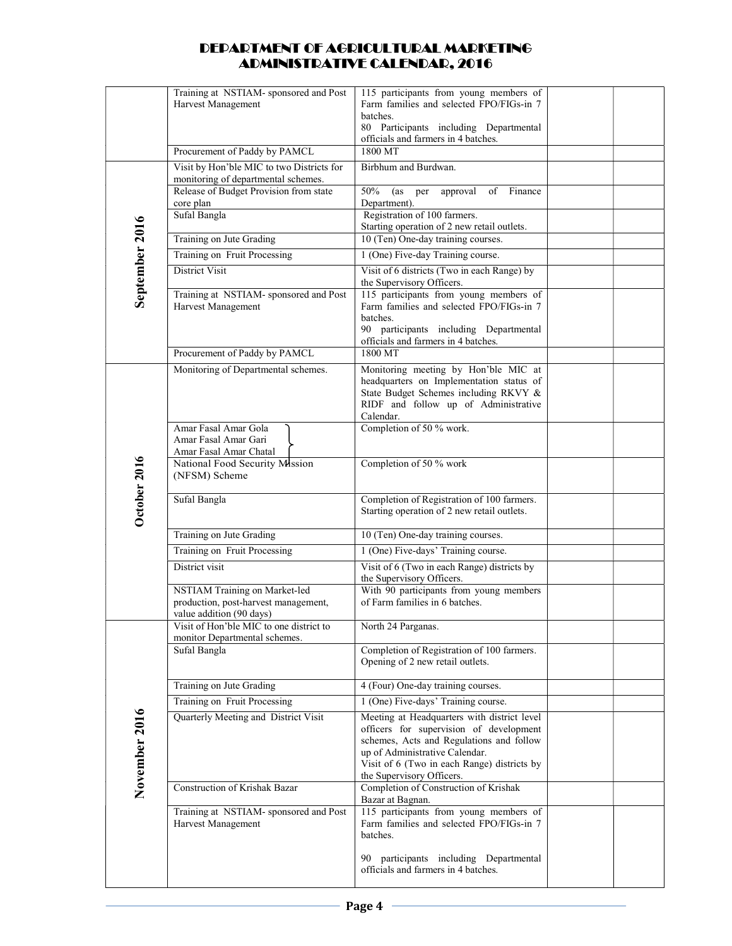|                | Training at NSTIAM- sponsored and Post                                        | 115 participants from young members of<br>Farm families and selected FPO/FIGs-in 7 |  |
|----------------|-------------------------------------------------------------------------------|------------------------------------------------------------------------------------|--|
|                | Harvest Management                                                            | batches.                                                                           |  |
|                |                                                                               | 80 Participants including Departmental                                             |  |
|                | Procurement of Paddy by PAMCL                                                 | officials and farmers in 4 batches.<br>1800 MT                                     |  |
|                | Visit by Hon'ble MIC to two Districts for                                     | Birbhum and Burdwan.                                                               |  |
|                | monitoring of departmental schemes.<br>Release of Budget Provision from state | 50%<br>of Finance<br>approval<br>(as                                               |  |
|                | core plan                                                                     | per<br>Department).                                                                |  |
|                | Sufal Bangla                                                                  | Registration of 100 farmers.                                                       |  |
| September 2016 | Training on Jute Grading                                                      | Starting operation of 2 new retail outlets.<br>10 (Ten) One-day training courses.  |  |
|                | Training on Fruit Processing                                                  | 1 (One) Five-day Training course.                                                  |  |
|                | District Visit                                                                | Visit of 6 districts (Two in each Range) by                                        |  |
|                | Training at NSTIAM- sponsored and Post                                        | the Supervisory Officers.<br>115 participants from young members of                |  |
|                | Harvest Management                                                            | Farm families and selected FPO/FIGs-in 7                                           |  |
|                |                                                                               | batches.                                                                           |  |
|                |                                                                               | 90 participants including Departmental<br>officials and farmers in 4 batches.      |  |
|                | Procurement of Paddy by PAMCL                                                 | 1800 MT                                                                            |  |
|                | Monitoring of Departmental schemes.                                           | Monitoring meeting by Hon'ble MIC at<br>headquarters on Implementation status of   |  |
|                |                                                                               | State Budget Schemes including RKVY &                                              |  |
|                |                                                                               | RIDF and follow up of Administrative<br>Calendar.                                  |  |
|                | Amar Fasal Amar Gola                                                          | Completion of 50 % work.                                                           |  |
|                | Amar Fasal Amar Gari                                                          |                                                                                    |  |
|                | Amar Fasal Amar Chatal<br>National Food Security Mission                      | Completion of 50 % work                                                            |  |
| October 2016   | (NFSM) Scheme                                                                 |                                                                                    |  |
|                | Sufal Bangla                                                                  | Completion of Registration of 100 farmers.                                         |  |
|                |                                                                               | Starting operation of 2 new retail outlets.                                        |  |
|                | Training on Jute Grading                                                      | 10 (Ten) One-day training courses.                                                 |  |
|                | Training on Fruit Processing                                                  | 1 (One) Five-days' Training course.                                                |  |
|                | District visit                                                                | Visit of 6 (Two in each Range) districts by<br>the Supervisory Officers.           |  |
|                | NSTIAM Training on Market-led                                                 | With 90 participants from young members                                            |  |
|                | production, post-harvest management,<br>value addition (90 days)              | of Farm families in 6 batches.                                                     |  |
|                | Visit of Hon'ble MIC to one district to                                       | North 24 Parganas.                                                                 |  |
|                | monitor Departmental schemes.                                                 |                                                                                    |  |
|                | Sufal Bangla                                                                  | Completion of Registration of 100 farmers.<br>Opening of 2 new retail outlets.     |  |
|                |                                                                               |                                                                                    |  |
|                | Training on Jute Grading<br>Training on Fruit Processing                      | 4 (Four) One-day training courses.<br>1 (One) Five-days' Training course.          |  |
|                | Quarterly Meeting and District Visit                                          | Meeting at Headquarters with district level                                        |  |
|                |                                                                               | officers for supervision of development                                            |  |
|                |                                                                               | schemes, Acts and Regulations and follow<br>up of Administrative Calendar.         |  |
| November 2016  |                                                                               | Visit of 6 (Two in each Range) districts by                                        |  |
|                | Construction of Krishak Bazar                                                 | the Supervisory Officers.<br>Completion of Construction of Krishak                 |  |
|                |                                                                               | Bazar at Bagnan.                                                                   |  |
|                | Training at NSTIAM- sponsored and Post<br>Harvest Management                  | 115 participants from young members of<br>Farm families and selected FPO/FIGs-in 7 |  |
|                |                                                                               | batches.                                                                           |  |
|                |                                                                               | 90 participants including Departmental                                             |  |
|                |                                                                               | officials and farmers in 4 batches.                                                |  |
|                |                                                                               |                                                                                    |  |